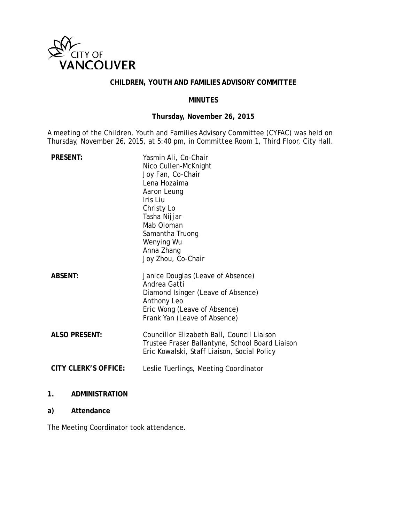

# **CHILDREN, YOUTH AND FAMILIES ADVISORY COMMITTEE**

# **MINUTES**

# **Thursday, November 26, 2015**

A meeting of the Children, Youth and Families Advisory Committee (CYFAC) was held on Thursday, November 26, 2015, at 5:40 pm, in Committee Room 1, Third Floor, City Hall.

| <b>PRESENT:</b>      | Yasmin Ali, Co-Chair<br>Nico Cullen-McKnight<br>Joy Fan, Co-Chair<br>Lena Hozaima<br>Aaron Leung<br>Iris Liu<br>Christy Lo<br>Tasha Nijjar<br>Mab Oloman<br>Samantha Truong<br>Wenying Wu<br>Anna Zhang<br>Joy Zhou, Co-Chair |
|----------------------|-------------------------------------------------------------------------------------------------------------------------------------------------------------------------------------------------------------------------------|
| <b>ABSENT:</b>       | Janice Douglas (Leave of Absence)<br>Andrea Gatti<br>Diamond Isinger (Leave of Absence)<br>Anthony Leo<br>Eric Wong (Leave of Absence)<br>Frank Yan (Leave of Absence)                                                        |
| <b>ALSO PRESENT:</b> | Councillor Elizabeth Ball, Council Liaison<br>Trustee Fraser Ballantyne, School Board Liaison<br>Eric Kowalski, Staff Liaison, Social Policy                                                                                  |
| CITY CLERK'S OFFICE: | Leslie Tuerlings, Meeting Coordinator                                                                                                                                                                                         |

# **1. ADMINISTRATION**

# **a) Attendance**

The Meeting Coordinator took attendance.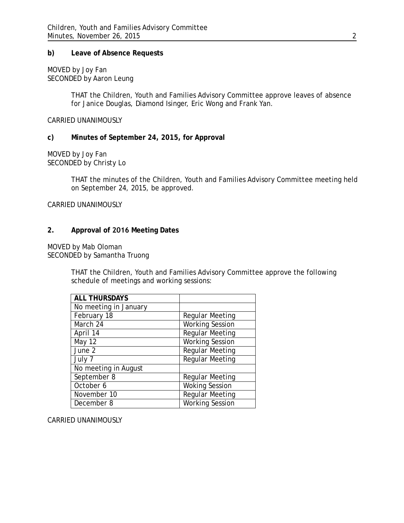# **b) Leave of Absence Requests**

MOVED by Joy Fan SECONDED by Aaron Leung

> THAT the Children, Youth and Families Advisory Committee approve leaves of absence for Janice Douglas, Diamond Isinger, Eric Wong and Frank Yan.

CARRIED UNANIMOUSLY

# **c) Minutes of September 24, 2015, for Approval**

MOVED by Joy Fan SECONDED by Christy Lo

> THAT the minutes of the Children, Youth and Families Advisory Committee meeting held on September 24, 2015, be approved.

CARRIED UNANIMOUSLY

# **2. Approval of 2016 Meeting Dates**

MOVED by Mab Oloman SECONDED by Samantha Truong

> THAT the Children, Youth and Families Advisory Committee approve the following schedule of meetings and working sessions:

| <b>ALL THURSDAYS</b>  |                        |
|-----------------------|------------------------|
| No meeting in January |                        |
| February 18           | <b>Regular Meeting</b> |
| March 24              | <b>Working Session</b> |
| April 14              | <b>Regular Meeting</b> |
| May 12                | <b>Working Session</b> |
| June 2                | <b>Regular Meeting</b> |
| July 7                | <b>Regular Meeting</b> |
| No meeting in August  |                        |
| September 8           | <b>Regular Meeting</b> |
| October 6             | <b>Woking Session</b>  |
| November 10           | <b>Regular Meeting</b> |
| December 8            | <b>Working Session</b> |

CARRIED UNANIMOUSLY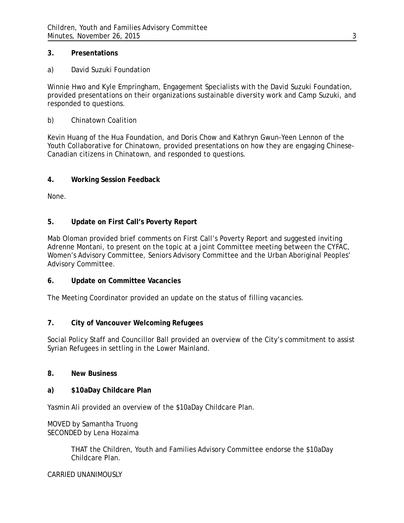# **3. Presentations**

a) David Suzuki Foundation

Winnie Hwo and Kyle Empringham, Engagement Specialists with the David Suzuki Foundation, provided presentations on their organizations sustainable diversity work and Camp Suzuki, and responded to questions.

b) Chinatown Coalition

Kevin Huang of the Hua Foundation, and Doris Chow and Kathryn Gwun-Yeen Lennon of the Youth Collaborative for Chinatown, provided presentations on how they are engaging Chinese-Canadian citizens in Chinatown, and responded to questions.

### **4. Working Session Feedback**

None.

## **5. Update on First Call's Poverty Report**

Mab Oloman provided brief comments on First Call's Poverty Report and suggested inviting Adrenne Montani, to present on the topic at a joint Committee meeting between the CYFAC, Women's Advisory Committee, Seniors Advisory Committee and the Urban Aboriginal Peoples' Advisory Committee.

#### **6. Update on Committee Vacancies**

The Meeting Coordinator provided an update on the status of filling vacancies.

# **7. City of Vancouver Welcoming Refugees**

Social Policy Staff and Councillor Ball provided an overview of the City's commitment to assist Syrian Refugees in settling in the Lower Mainland.

#### **8. New Business**

#### **a) \$10aDay Childcare Plan**

Yasmin Ali provided an overview of the \$10aDay Childcare Plan.

### MOVED by Samantha Truong SECONDED by Lena Hozaima

THAT the Children, Youth and Families Advisory Committee endorse the \$10aDay Childcare Plan.

## CARRIED UNANIMOUSLY